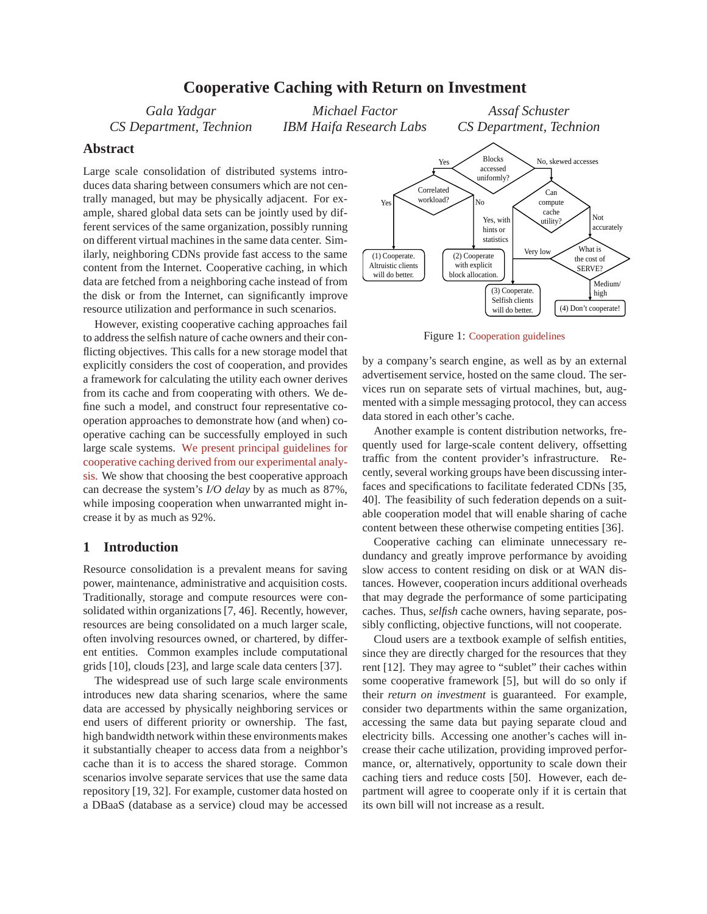# **Cooperative Caching with Return on Investment**

*Gala Yadgar CS Department, Technion*

*Michael Factor IBM Haifa Research Labs*

*Assaf Schuster CS Department, Technion*

## **Abstract**

Large scale consolidation of distributed systems introduces data sharing between consumers which are not centrally managed, but may be physically adjacent. For example, shared global data sets can be jointly used by different services of the same organization, possibly running on different virtual machines in the same data center. Similarly, neighboring CDNs provide fast access to the same content from the Internet. Cooperative caching, in which data are fetched from a neighboring cache instead of from the disk or from the Internet, can significantly improve resource utilization and performance in such scenarios.

However, existing cooperative caching approaches fail to address the selfish nature of cache owners and their conflicting objectives. This calls for a new storage model that explicitly considers the cost of cooperation, and provides a framework for calculating the utility each owner derives from its cache and from cooperating with others. We define such a model, and construct four representative cooperation approaches to demonstrate how (and when) cooperative caching can be successfully employed in such large scale systems. We present principal guidelines for cooperative caching derived from our experimental analysis. We show that choosing the best cooperative approach can decrease the system's *I/O delay* by as much as 87%, while imposing cooperation when unwarranted might increase it by as much as 92%.

## **1 Introduction**

Resource consolidation is a prevalent means for saving power, maintenance, administrative and acquisition costs. Traditionally, storage and compute resources were consolidated within organizations [7, 46]. Recently, however, resources are being consolidated on a much larger scale, often involving resources owned, or chartered, by different entities. Common examples include computational grids [10], clouds [23], and large scale data centers [37].

The widespread use of such large scale environments introduces new data sharing scenarios, where the same data are accessed by physically neighboring services or end users of different priority or ownership. The fast, high bandwidth network within these environments makes it substantially cheaper to access data from a neighbor's cache than it is to access the shared storage. Common scenarios involve separate services that use the same data repository [19, 32]. For example, customer data hosted on a DBaaS (database as a service) cloud may be accessed



Figure 1: Cooperation guidelines

by a company's search engine, as well as by an external advertisement service, hosted on the same cloud. The services run on separate sets of virtual machines, but, augmented with a simple messaging protocol, they can access data stored in each other's cache.

Another example is content distribution networks, frequently used for large-scale content delivery, offsetting traffic from the content provider's infrastructure. Recently, several working groups have been discussing interfaces and specifications to facilitate federated CDNs [35, 40]. The feasibility of such federation depends on a suitable cooperation model that will enable sharing of cache content between these otherwise competing entities [36].

Cooperative caching can eliminate unnecessary redundancy and greatly improve performance by avoiding slow access to content residing on disk or at WAN distances. However, cooperation incurs additional overheads that may degrade the performance of some participating caches. Thus, *selfish* cache owners, having separate, possibly conflicting, objective functions, will not cooperate.

Cloud users are a textbook example of selfish entities, since they are directly charged for the resources that they rent [12]. They may agree to "sublet" their caches within some cooperative framework [5], but will do so only if their *return on investment* is guaranteed. For example, consider two departments within the same organization, accessing the same data but paying separate cloud and electricity bills. Accessing one another's caches will increase their cache utilization, providing improved performance, or, alternatively, opportunity to scale down their caching tiers and reduce costs [50]. However, each department will agree to cooperate only if it is certain that its own bill will not increase as a result.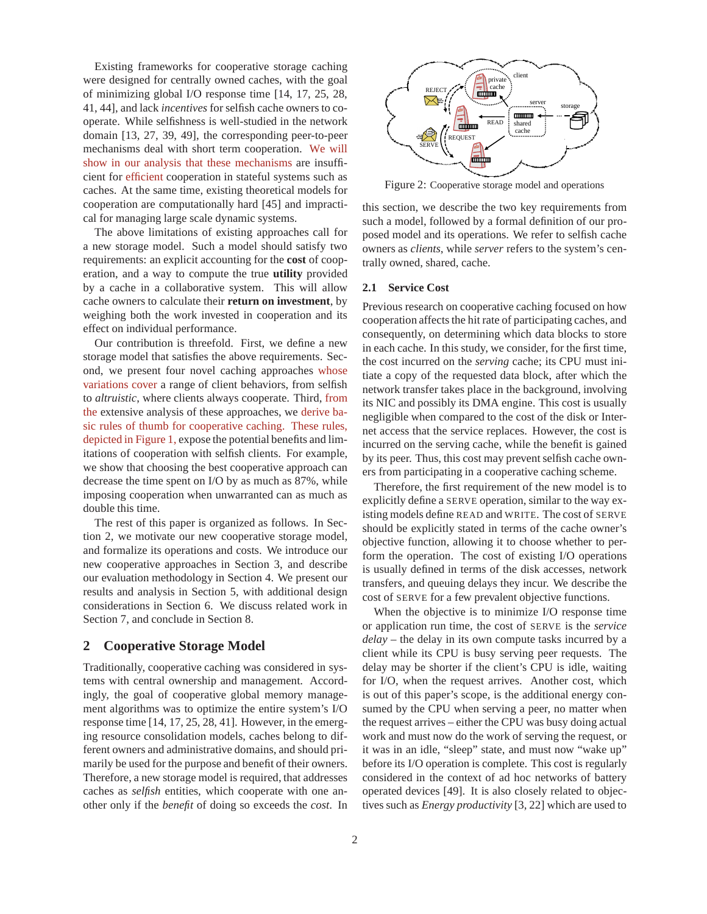Existing frameworks for cooperative storage caching were designed for centrally owned caches, with the goal of minimizing global I/O response time [14, 17, 25, 28, 41, 44], and lack *incentives* for selfish cache owners to cooperate. While selfishness is well-studied in the network domain [13, 27, 39, 49], the corresponding peer-to-peer mechanisms deal with short term cooperation. We will show in our analysis that these mechanisms are insufficient for efficient cooperation in stateful systems such as caches. At the same time, existing theoretical models for cooperation are computationally hard [45] and impractical for managing large scale dynamic systems.

The above limitations of existing approaches call for a new storage model. Such a model should satisfy two requirements: an explicit accounting for the **cost** of cooperation, and a way to compute the true **utility** provided by a cache in a collaborative system. This will allow cache owners to calculate their **return on investment**, by weighing both the work invested in cooperation and its effect on individual performance.

Our contribution is threefold. First, we define a new storage model that satisfies the above requirements. Second, we present four novel caching approaches whose variations cover a range of client behaviors, from selfish to *altruistic*, where clients always cooperate. Third, from the extensive analysis of these approaches, we derive basic rules of thumb for cooperative caching. These rules, depicted in Figure 1, expose the potential benefits and limitations of cooperation with selfish clients. For example, we show that choosing the best cooperative approach can decrease the time spent on I/O by as much as 87%, while imposing cooperation when unwarranted can as much as double this time.

The rest of this paper is organized as follows. In Section 2, we motivate our new cooperative storage model, and formalize its operations and costs. We introduce our new cooperative approaches in Section 3, and describe our evaluation methodology in Section 4. We present our results and analysis in Section 5, with additional design considerations in Section 6. We discuss related work in Section 7, and conclude in Section 8.

### **2 Cooperative Storage Model**

Traditionally, cooperative caching was considered in systems with central ownership and management. Accordingly, the goal of cooperative global memory management algorithms was to optimize the entire system's I/O response time [14, 17, 25, 28, 41]. However, in the emerging resource consolidation models, caches belong to different owners and administrative domains, and should primarily be used for the purpose and benefit of their owners. Therefore, a new storage model is required, that addresses caches as *selfish* entities, which cooperate with one another only if the *benefit* of doing so exceeds the *cost*. In



Figure 2: Cooperative storage model and operations

this section, we describe the two key requirements from such a model, followed by a formal definition of our proposed model and its operations. We refer to selfish cache owners as *clients*, while *server* refers to the system's centrally owned, shared, cache.

#### **2.1 Service Cost**

Previous research on cooperative caching focused on how cooperation affects the hit rate of participating caches, and consequently, on determining which data blocks to store in each cache. In this study, we consider, for the first time, the cost incurred on the *serving* cache; its CPU must initiate a copy of the requested data block, after which the network transfer takes place in the background, involving its NIC and possibly its DMA engine. This cost is usually negligible when compared to the cost of the disk or Internet access that the service replaces. However, the cost is incurred on the serving cache, while the benefit is gained by its peer. Thus, this cost may prevent selfish cache owners from participating in a cooperative caching scheme.

Therefore, the first requirement of the new model is to explicitly define a SERVE operation, similar to the way existing models define READ and WRITE. The cost of SERVE should be explicitly stated in terms of the cache owner's objective function, allowing it to choose whether to perform the operation. The cost of existing I/O operations is usually defined in terms of the disk accesses, network transfers, and queuing delays they incur. We describe the cost of SERVE for a few prevalent objective functions.

When the objective is to minimize I/O response time or application run time, the cost of SERVE is the *service delay* – the delay in its own compute tasks incurred by a client while its CPU is busy serving peer requests. The delay may be shorter if the client's CPU is idle, waiting for I/O, when the request arrives. Another cost, which is out of this paper's scope, is the additional energy consumed by the CPU when serving a peer, no matter when the request arrives – either the CPU was busy doing actual work and must now do the work of serving the request, or it was in an idle, "sleep" state, and must now "wake up" before its I/O operation is complete. This cost is regularly considered in the context of ad hoc networks of battery operated devices [49]. It is also closely related to objectives such as *Energy productivity* [3, 22] which are used to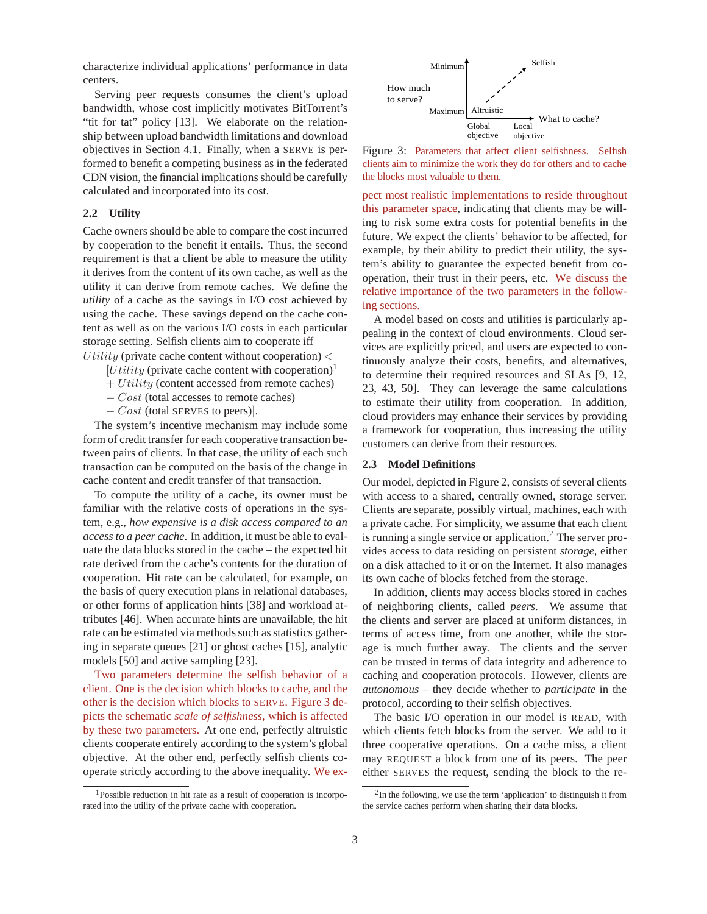characterize individual applications' performance in data centers.

Serving peer requests consumes the client's upload bandwidth, whose cost implicitly motivates BitTorrent's "tit for tat" policy [13]. We elaborate on the relationship between upload bandwidth limitations and download objectives in Section 4.1. Finally, when a SERVE is performed to benefit a competing business as in the federated CDN vision, the financial implications should be carefully calculated and incorporated into its cost.

#### **2.2 Utility**

Cache owners should be able to compare the cost incurred by cooperation to the benefit it entails. Thus, the second requirement is that a client be able to measure the utility it derives from the content of its own cache, as well as the utility it can derive from remote caches. We define the *utility* of a cache as the savings in I/O cost achieved by using the cache. These savings depend on the cache content as well as on the various I/O costs in each particular storage setting. Selfish clients aim to cooperate iff U tility (private cache content without cooperation)  $\lt$ 

- $[Utility$  (private cache content with cooperation)<sup>1</sup>
- $+ *Utility*$  (content accessed from remote caches)
- − Cost (total accesses to remote caches)
- $-Cost$  (total SERVES to peers)].
- 

The system's incentive mechanism may include some form of credit transfer for each cooperative transaction between pairs of clients. In that case, the utility of each such transaction can be computed on the basis of the change in cache content and credit transfer of that transaction.

To compute the utility of a cache, its owner must be familiar with the relative costs of operations in the system, e.g., *how expensive is a disk access compared to an access to a peer cache*. In addition, it must be able to evaluate the data blocks stored in the cache – the expected hit rate derived from the cache's contents for the duration of cooperation. Hit rate can be calculated, for example, on the basis of query execution plans in relational databases, or other forms of application hints [38] and workload attributes [46]. When accurate hints are unavailable, the hit rate can be estimated via methods such as statistics gathering in separate queues [21] or ghost caches [15], analytic models [50] and active sampling [23].

Two parameters determine the selfish behavior of a client. One is the decision which blocks to cache, and the other is the decision which blocks to SERVE. Figure 3 depicts the schematic *scale of selfishness*, which is affected by these two parameters. At one end, perfectly altruistic clients cooperate entirely according to the system's global objective. At the other end, perfectly selfish clients cooperate strictly according to the above inequality. We ex-





Figure 3: Parameters that affect client selfishness. Selfish clients aim to minimize the work they do for others and to cache the blocks most valuable to them.

pect most realistic implementations to reside throughout this parameter space, indicating that clients may be willing to risk some extra costs for potential benefits in the future. We expect the clients' behavior to be affected, for example, by their ability to predict their utility, the system's ability to guarantee the expected benefit from cooperation, their trust in their peers, etc. We discuss the relative importance of the two parameters in the following sections.

A model based on costs and utilities is particularly appealing in the context of cloud environments. Cloud services are explicitly priced, and users are expected to continuously analyze their costs, benefits, and alternatives, to determine their required resources and SLAs [9, 12, 23, 43, 50]. They can leverage the same calculations to estimate their utility from cooperation. In addition, cloud providers may enhance their services by providing a framework for cooperation, thus increasing the utility customers can derive from their resources.

#### **2.3 Model Definitions**

Our model, depicted in Figure 2, consists of several clients with access to a shared, centrally owned, storage server. Clients are separate, possibly virtual, machines, each with a private cache. For simplicity, we assume that each client is running a single service or application.<sup>2</sup> The server provides access to data residing on persistent *storage*, either on a disk attached to it or on the Internet. It also manages its own cache of blocks fetched from the storage.

In addition, clients may access blocks stored in caches of neighboring clients, called *peers*. We assume that the clients and server are placed at uniform distances, in terms of access time, from one another, while the storage is much further away. The clients and the server can be trusted in terms of data integrity and adherence to caching and cooperation protocols. However, clients are *autonomous* – they decide whether to *participate* in the protocol, according to their selfish objectives.

The basic I/O operation in our model is READ, with which clients fetch blocks from the server. We add to it three cooperative operations. On a cache miss, a client may REQUEST a block from one of its peers. The peer either SERVES the request, sending the block to the re-

<sup>&</sup>lt;sup>2</sup>In the following, we use the term 'application' to distinguish it from the service caches perform when sharing their data blocks.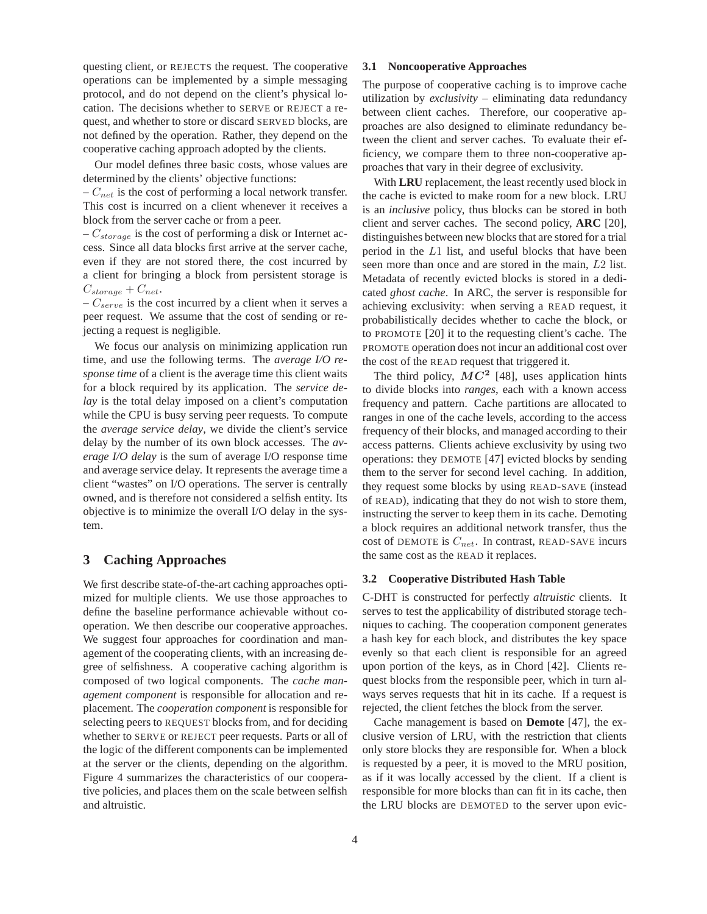questing client, or REJECTS the request. The cooperative operations can be implemented by a simple messaging protocol, and do not depend on the client's physical location. The decisions whether to SERVE or REJECT a request, and whether to store or discard SERVED blocks, are not defined by the operation. Rather, they depend on the cooperative caching approach adopted by the clients.

Our model defines three basic costs, whose values are determined by the clients' objective functions:

 $-C_{net}$  is the cost of performing a local network transfer. This cost is incurred on a client whenever it receives a block from the server cache or from a peer.

 $-C_{storage}$  is the cost of performing a disk or Internet access. Since all data blocks first arrive at the server cache, even if they are not stored there, the cost incurred by a client for bringing a block from persistent storage is  $C_{storage} + C_{net}.$ 

 $-C_{serve}$  is the cost incurred by a client when it serves a peer request. We assume that the cost of sending or rejecting a request is negligible.

We focus our analysis on minimizing application run time, and use the following terms. The *average I/O response time* of a client is the average time this client waits for a block required by its application. The *service delay* is the total delay imposed on a client's computation while the CPU is busy serving peer requests. To compute the *average service delay*, we divide the client's service delay by the number of its own block accesses. The *average I/O delay* is the sum of average I/O response time and average service delay. It represents the average time a client "wastes" on I/O operations. The server is centrally owned, and is therefore not considered a selfish entity. Its objective is to minimize the overall I/O delay in the system.

### **3 Caching Approaches**

We first describe state-of-the-art caching approaches optimized for multiple clients. We use those approaches to define the baseline performance achievable without cooperation. We then describe our cooperative approaches. We suggest four approaches for coordination and management of the cooperating clients, with an increasing degree of selfishness. A cooperative caching algorithm is composed of two logical components. The *cache management component* is responsible for allocation and replacement. The *cooperation component* is responsible for selecting peers to REQUEST blocks from, and for deciding whether to SERVE or REJECT peer requests. Parts or all of the logic of the different components can be implemented at the server or the clients, depending on the algorithm. Figure 4 summarizes the characteristics of our cooperative policies, and places them on the scale between selfish and altruistic.

#### **3.1 Noncooperative Approaches**

The purpose of cooperative caching is to improve cache utilization by *exclusivity* – eliminating data redundancy between client caches. Therefore, our cooperative approaches are also designed to eliminate redundancy between the client and server caches. To evaluate their efficiency, we compare them to three non-cooperative approaches that vary in their degree of exclusivity.

With **LRU** replacement, the least recently used block in the cache is evicted to make room for a new block. LRU is an *inclusive* policy, thus blocks can be stored in both client and server caches. The second policy, **ARC** [20], distinguishes between new blocks that are stored for a trial period in the L1 list, and useful blocks that have been seen more than once and are stored in the main, L2 list. Metadata of recently evicted blocks is stored in a dedicated *ghost cache*. In ARC, the server is responsible for achieving exclusivity: when serving a READ request, it probabilistically decides whether to cache the block, or to PROMOTE [20] it to the requesting client's cache. The PROMOTE operation does not incur an additional cost over the cost of the READ request that triggered it.

The third policy,  $MC^2$  [48], uses application hints to divide blocks into *ranges*, each with a known access frequency and pattern. Cache partitions are allocated to ranges in one of the cache levels, according to the access frequency of their blocks, and managed according to their access patterns. Clients achieve exclusivity by using two operations: they DEMOTE [47] evicted blocks by sending them to the server for second level caching. In addition, they request some blocks by using READ-SAVE (instead of READ), indicating that they do not wish to store them, instructing the server to keep them in its cache. Demoting a block requires an additional network transfer, thus the cost of DEMOTE is  $C_{net}$ . In contrast, READ-SAVE incurs the same cost as the READ it replaces.

#### **3.2 Cooperative Distributed Hash Table**

C-DHT is constructed for perfectly *altruistic* clients. It serves to test the applicability of distributed storage techniques to caching. The cooperation component generates a hash key for each block, and distributes the key space evenly so that each client is responsible for an agreed upon portion of the keys, as in Chord [42]. Clients request blocks from the responsible peer, which in turn always serves requests that hit in its cache. If a request is rejected, the client fetches the block from the server.

Cache management is based on **Demote** [47], the exclusive version of LRU, with the restriction that clients only store blocks they are responsible for. When a block is requested by a peer, it is moved to the MRU position, as if it was locally accessed by the client. If a client is responsible for more blocks than can fit in its cache, then the LRU blocks are DEMOTED to the server upon evic-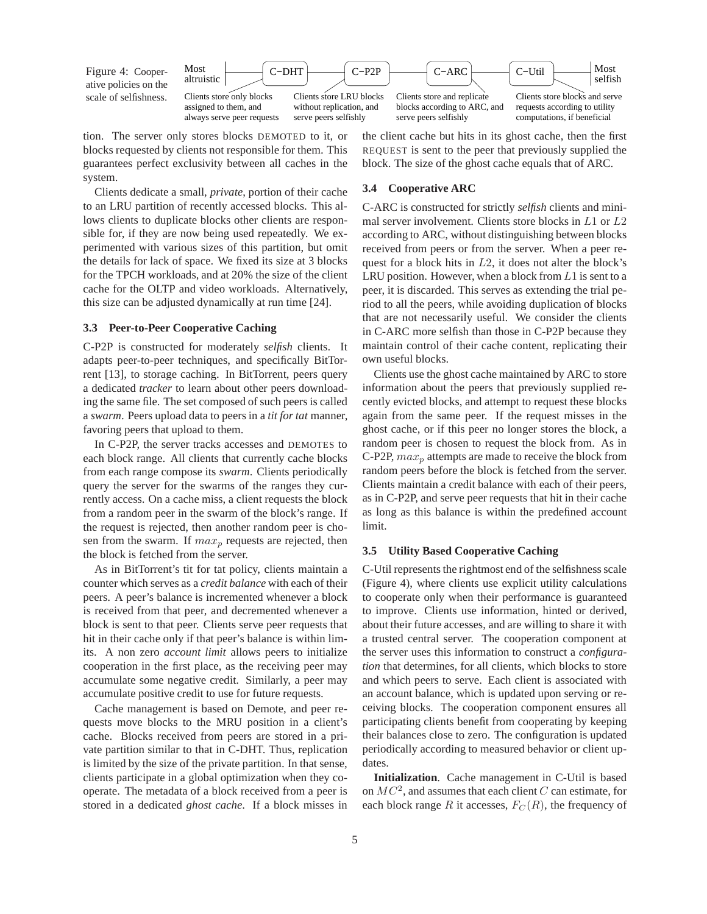

tion. The server only stores blocks DEMOTED to it, or blocks requested by clients not responsible for them. This guarantees perfect exclusivity between all caches in the system.

Clients dedicate a small, *private*, portion of their cache to an LRU partition of recently accessed blocks. This allows clients to duplicate blocks other clients are responsible for, if they are now being used repeatedly. We experimented with various sizes of this partition, but omit the details for lack of space. We fixed its size at 3 blocks for the TPCH workloads, and at 20% the size of the client cache for the OLTP and video workloads. Alternatively, this size can be adjusted dynamically at run time [24].

#### **3.3 Peer-to-Peer Cooperative Caching**

C-P2P is constructed for moderately *selfish* clients. It adapts peer-to-peer techniques, and specifically BitTorrent [13], to storage caching. In BitTorrent, peers query a dedicated *tracker* to learn about other peers downloading the same file. The set composed of such peers is called a *swarm*. Peers upload data to peers in a *tit for tat* manner, favoring peers that upload to them.

In C-P2P, the server tracks accesses and DEMOTES to each block range. All clients that currently cache blocks from each range compose its *swarm*. Clients periodically query the server for the swarms of the ranges they currently access. On a cache miss, a client requests the block from a random peer in the swarm of the block's range. If the request is rejected, then another random peer is chosen from the swarm. If  $max_p$  requests are rejected, then the block is fetched from the server.

As in BitTorrent's tit for tat policy, clients maintain a counter which serves as a *credit balance* with each of their peers. A peer's balance is incremented whenever a block is received from that peer, and decremented whenever a block is sent to that peer. Clients serve peer requests that hit in their cache only if that peer's balance is within limits. A non zero *account limit* allows peers to initialize cooperation in the first place, as the receiving peer may accumulate some negative credit. Similarly, a peer may accumulate positive credit to use for future requests.

Cache management is based on Demote, and peer requests move blocks to the MRU position in a client's cache. Blocks received from peers are stored in a private partition similar to that in C-DHT. Thus, replication is limited by the size of the private partition. In that sense, clients participate in a global optimization when they cooperate. The metadata of a block received from a peer is stored in a dedicated *ghost cache*. If a block misses in

the client cache but hits in its ghost cache, then the first REQUEST is sent to the peer that previously supplied the block. The size of the ghost cache equals that of ARC.

### **3.4 Cooperative ARC**

C-ARC is constructed for strictly *selfish* clients and minimal server involvement. Clients store blocks in L1 or L2 according to ARC, without distinguishing between blocks received from peers or from the server. When a peer request for a block hits in  $L2$ , it does not alter the block's LRU position. However, when a block from  $L1$  is sent to a peer, it is discarded. This serves as extending the trial period to all the peers, while avoiding duplication of blocks that are not necessarily useful. We consider the clients in C-ARC more selfish than those in C-P2P because they maintain control of their cache content, replicating their own useful blocks.

Clients use the ghost cache maintained by ARC to store information about the peers that previously supplied recently evicted blocks, and attempt to request these blocks again from the same peer. If the request misses in the ghost cache, or if this peer no longer stores the block, a random peer is chosen to request the block from. As in C-P2P,  $max_p$  attempts are made to receive the block from random peers before the block is fetched from the server. Clients maintain a credit balance with each of their peers, as in C-P2P, and serve peer requests that hit in their cache as long as this balance is within the predefined account limit.

#### **3.5 Utility Based Cooperative Caching**

C-Util represents the rightmost end of the selfishness scale (Figure 4), where clients use explicit utility calculations to cooperate only when their performance is guaranteed to improve. Clients use information, hinted or derived, about their future accesses, and are willing to share it with a trusted central server. The cooperation component at the server uses this information to construct a *configuration* that determines, for all clients, which blocks to store and which peers to serve. Each client is associated with an account balance, which is updated upon serving or receiving blocks. The cooperation component ensures all participating clients benefit from cooperating by keeping their balances close to zero. The configuration is updated periodically according to measured behavior or client updates.

**Initialization**. Cache management in C-Util is based on  $MC^2$ , and assumes that each client C can estimate, for each block range R it accesses,  $F_C(R)$ , the frequency of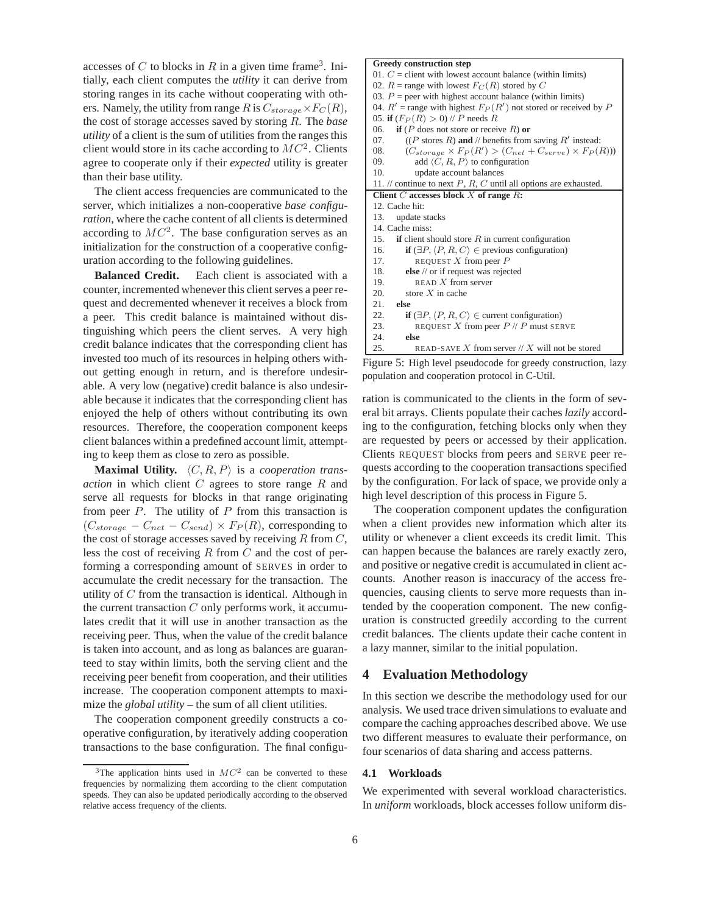accesses of C to blocks in R in a given time frame<sup>3</sup>. Initially, each client computes the *utility* it can derive from storing ranges in its cache without cooperating with others. Namely, the utility from range R is  $C_{storage} \times F_C(R)$ , the cost of storage accesses saved by storing R. The *base utility* of a client is the sum of utilities from the ranges this client would store in its cache according to  $MC^2$ . Clients agree to cooperate only if their *expected* utility is greater than their base utility.

The client access frequencies are communicated to the server, which initializes a non-cooperative *base configuration*, where the cache content of all clients is determined according to  $MC^2$ . The base configuration serves as an initialization for the construction of a cooperative configuration according to the following guidelines.

**Balanced Credit.** Each client is associated with a counter, incremented whenever this client serves a peer request and decremented whenever it receives a block from a peer. This credit balance is maintained without distinguishing which peers the client serves. A very high credit balance indicates that the corresponding client has invested too much of its resources in helping others without getting enough in return, and is therefore undesirable. A very low (negative) credit balance is also undesirable because it indicates that the corresponding client has enjoyed the help of others without contributing its own resources. Therefore, the cooperation component keeps client balances within a predefined account limit, attempting to keep them as close to zero as possible.

**Maximal Utility.**  $\langle C, R, P \rangle$  is a *cooperation transaction* in which client C agrees to store range R and serve all requests for blocks in that range originating from peer  $P$ . The utility of  $P$  from this transaction is  $(C_{storage} - C_{net} - C_{send}) \times F_P(R)$ , corresponding to the cost of storage accesses saved by receiving  $R$  from  $C$ , less the cost of receiving  $R$  from  $C$  and the cost of performing a corresponding amount of SERVES in order to accumulate the credit necessary for the transaction. The utility of C from the transaction is identical. Although in the current transaction  $C$  only performs work, it accumulates credit that it will use in another transaction as the receiving peer. Thus, when the value of the credit balance is taken into account, and as long as balances are guaranteed to stay within limits, both the serving client and the receiving peer benefit from cooperation, and their utilities increase. The cooperation component attempts to maximize the *global utility* – the sum of all client utilities.

The cooperation component greedily constructs a cooperative configuration, by iteratively adding cooperation transactions to the base configuration. The final configu-

#### **Greedy construction step**

| 01. $C =$ client with lowest account balance (within limits)                                       |  |  |  |  |  |
|----------------------------------------------------------------------------------------------------|--|--|--|--|--|
| 02. $R$ = range with lowest $F_C(R)$ stored by C                                                   |  |  |  |  |  |
| 03. $P =$ peer with highest account balance (within limits)                                        |  |  |  |  |  |
| 04. $R'$ = range with highest $F_P(R')$ not stored or received by P                                |  |  |  |  |  |
| 05. if $(F_P(R) > 0)$ // P needs R                                                                 |  |  |  |  |  |
| if (P does not store or receive R) or<br>06.                                                       |  |  |  |  |  |
| $((P \text{ stores } R) \text{ and } // \text{ benefits from saving } R' \text{ instead: }$<br>07. |  |  |  |  |  |
| $(C_{storage} \times F_P(R') > (C_{net} + C_{serve}) \times F_P(R))$<br>08.                        |  |  |  |  |  |
| add $\langle C, R, P \rangle$ to configuration<br>09.                                              |  |  |  |  |  |
| 10.<br>update account balances                                                                     |  |  |  |  |  |
| 11. // continue to next $P$ , $R$ , $C$ until all options are exhausted.                           |  |  |  |  |  |
| Client $C$ accesses block $X$ of range $R$ :                                                       |  |  |  |  |  |
| 12. Cache hit:                                                                                     |  |  |  |  |  |
| update stacks<br>13.                                                                               |  |  |  |  |  |
| 14. Cache miss:                                                                                    |  |  |  |  |  |
| 15.<br><b>if</b> client should store $R$ in current configuration                                  |  |  |  |  |  |
| <b>if</b> $(\exists P, \langle P, R, C \rangle \in$ previous configuration)<br>16.                 |  |  |  |  |  |
| REQUEST $X$ from peer $P$<br>17.                                                                   |  |  |  |  |  |
| else // or if request was rejected<br>18.                                                          |  |  |  |  |  |
| READ $X$ from server<br>19.                                                                        |  |  |  |  |  |
| 20.<br>store $X$ in cache                                                                          |  |  |  |  |  |
| 21.<br>else                                                                                        |  |  |  |  |  |
| <b>if</b> $(\exists P, \langle P, R, C \rangle \in$ current configuration)<br>22.                  |  |  |  |  |  |
| 23.<br>REQUEST X from peer $P$ // P must SERVE                                                     |  |  |  |  |  |
| 24.<br>else                                                                                        |  |  |  |  |  |
| READ-SAVE X from server $// X$ will not be stored<br>25.                                           |  |  |  |  |  |

Figure 5: High level pseudocode for greedy construction, lazy population and cooperation protocol in C-Util.

ration is communicated to the clients in the form of several bit arrays. Clients populate their caches *lazily* according to the configuration, fetching blocks only when they are requested by peers or accessed by their application. Clients REQUEST blocks from peers and SERVE peer requests according to the cooperation transactions specified by the configuration. For lack of space, we provide only a high level description of this process in Figure 5.

The cooperation component updates the configuration when a client provides new information which alter its utility or whenever a client exceeds its credit limit. This can happen because the balances are rarely exactly zero, and positive or negative credit is accumulated in client accounts. Another reason is inaccuracy of the access frequencies, causing clients to serve more requests than intended by the cooperation component. The new configuration is constructed greedily according to the current credit balances. The clients update their cache content in a lazy manner, similar to the initial population.

#### **4 Evaluation Methodology**

In this section we describe the methodology used for our analysis. We used trace driven simulations to evaluate and compare the caching approaches described above. We use two different measures to evaluate their performance, on four scenarios of data sharing and access patterns.

#### **4.1 Workloads**

We experimented with several workload characteristics. In *uniform* workloads, block accesses follow uniform dis-

<sup>&</sup>lt;sup>3</sup>The application hints used in  $MC^2$  can be converted to these frequencies by normalizing them according to the client computation speeds. They can also be updated periodically according to the observed relative access frequency of the clients.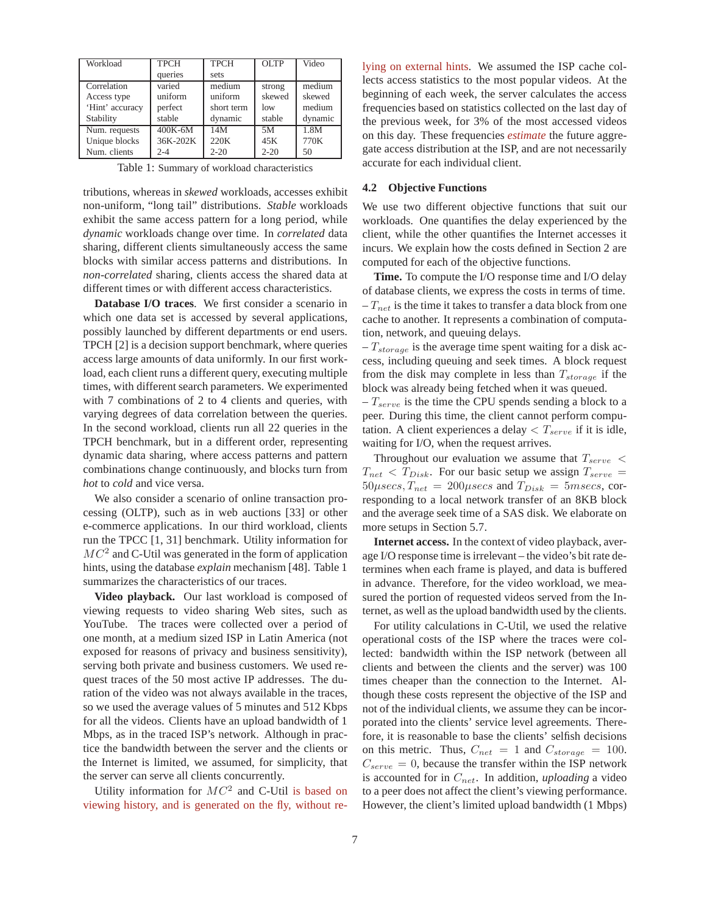| Workload        | <b>TPCH</b> | <b>TPCH</b> | O <sub>LP</sub> | Video   |
|-----------------|-------------|-------------|-----------------|---------|
|                 | queries     | sets        |                 |         |
| Correlation     | varied      | medium      | strong          | medium  |
| Access type     | uniform     | uniform     | skewed          | skewed  |
| 'Hint' accuracy | perfect     | short term  | low             | medium  |
| Stability       | stable      | dynamic     | stable          | dynamic |
| Num. requests   | 400K-6M     | 14M         | 5M              | 1.8M    |
| Unique blocks   | 36K-202K    | 220K        | 45K             | 770K    |
| Num. clients    | 2-4         | $2 - 20$    | $2 - 20$        | 50      |

Table 1: Summary of workload characteristics

tributions, whereas in *skewed* workloads, accesses exhibit non-uniform, "long tail" distributions. *Stable* workloads exhibit the same access pattern for a long period, while *dynamic* workloads change over time. In *correlated* data sharing, different clients simultaneously access the same blocks with similar access patterns and distributions. In *non-correlated* sharing, clients access the shared data at different times or with different access characteristics.

**Database I/O traces**. We first consider a scenario in which one data set is accessed by several applications, possibly launched by different departments or end users. TPCH [2] is a decision support benchmark, where queries access large amounts of data uniformly. In our first workload, each client runs a different query, executing multiple times, with different search parameters. We experimented with 7 combinations of 2 to 4 clients and queries, with varying degrees of data correlation between the queries. In the second workload, clients run all 22 queries in the TPCH benchmark, but in a different order, representing dynamic data sharing, where access patterns and pattern combinations change continuously, and blocks turn from *hot* to *cold* and vice versa.

We also consider a scenario of online transaction processing (OLTP), such as in web auctions [33] or other e-commerce applications. In our third workload, clients run the TPCC [1, 31] benchmark. Utility information for  $MC<sup>2</sup>$  and C-Util was generated in the form of application hints, using the database *explain* mechanism [48]. Table 1 summarizes the characteristics of our traces.

**Video playback.** Our last workload is composed of viewing requests to video sharing Web sites, such as YouTube. The traces were collected over a period of one month, at a medium sized ISP in Latin America (not exposed for reasons of privacy and business sensitivity), serving both private and business customers. We used request traces of the 50 most active IP addresses. The duration of the video was not always available in the traces, so we used the average values of 5 minutes and 512 Kbps for all the videos. Clients have an upload bandwidth of 1 Mbps, as in the traced ISP's network. Although in practice the bandwidth between the server and the clients or the Internet is limited, we assumed, for simplicity, that the server can serve all clients concurrently.

Utility information for  $MC^2$  and C-Util is based on viewing history, and is generated on the fly, without relying on external hints. We assumed the ISP cache collects access statistics to the most popular videos. At the beginning of each week, the server calculates the access frequencies based on statistics collected on the last day of the previous week, for 3% of the most accessed videos on this day. These frequencies *estimate* the future aggregate access distribution at the ISP, and are not necessarily accurate for each individual client.

#### **4.2 Objective Functions**

We use two different objective functions that suit our workloads. One quantifies the delay experienced by the client, while the other quantifies the Internet accesses it incurs. We explain how the costs defined in Section 2 are computed for each of the objective functions.

**Time.** To compute the I/O response time and I/O delay of database clients, we express the costs in terms of time.  $-T_{net}$  is the time it takes to transfer a data block from one cache to another. It represents a combination of computation, network, and queuing delays.

 $-T_{storage}$  is the average time spent waiting for a disk access, including queuing and seek times. A block request from the disk may complete in less than  $T_{storage}$  if the block was already being fetched when it was queued.

 $-T_{serve}$  is the time the CPU spends sending a block to a peer. During this time, the client cannot perform computation. A client experiences a delay  $\langle T_{serve} \rangle$  if it is idle, waiting for I/O, when the request arrives.

Throughout our evaluation we assume that  $T_{serve} <$  $T_{net}$  <  $T_{Disk}$ . For our basic setup we assign  $T_{serve}$  =  $50\mu secs$ ,  $T_{net} = 200\mu secs$  and  $T_{Disk} = 5msecs$ , corresponding to a local network transfer of an 8KB block and the average seek time of a SAS disk. We elaborate on more setups in Section 5.7.

**Internet access.** In the context of video playback, average I/O response time is irrelevant – the video's bit rate determines when each frame is played, and data is buffered in advance. Therefore, for the video workload, we measured the portion of requested videos served from the Internet, as well as the upload bandwidth used by the clients.

For utility calculations in C-Util, we used the relative operational costs of the ISP where the traces were collected: bandwidth within the ISP network (between all clients and between the clients and the server) was 100 times cheaper than the connection to the Internet. Although these costs represent the objective of the ISP and not of the individual clients, we assume they can be incorporated into the clients' service level agreements. Therefore, it is reasonable to base the clients' selfish decisions on this metric. Thus,  $C_{net} = 1$  and  $C_{storage} = 100$ .  $C_{serve} = 0$ , because the transfer within the ISP network is accounted for in  $C_{net}$ . In addition, *uploading* a video to a peer does not affect the client's viewing performance. However, the client's limited upload bandwidth (1 Mbps)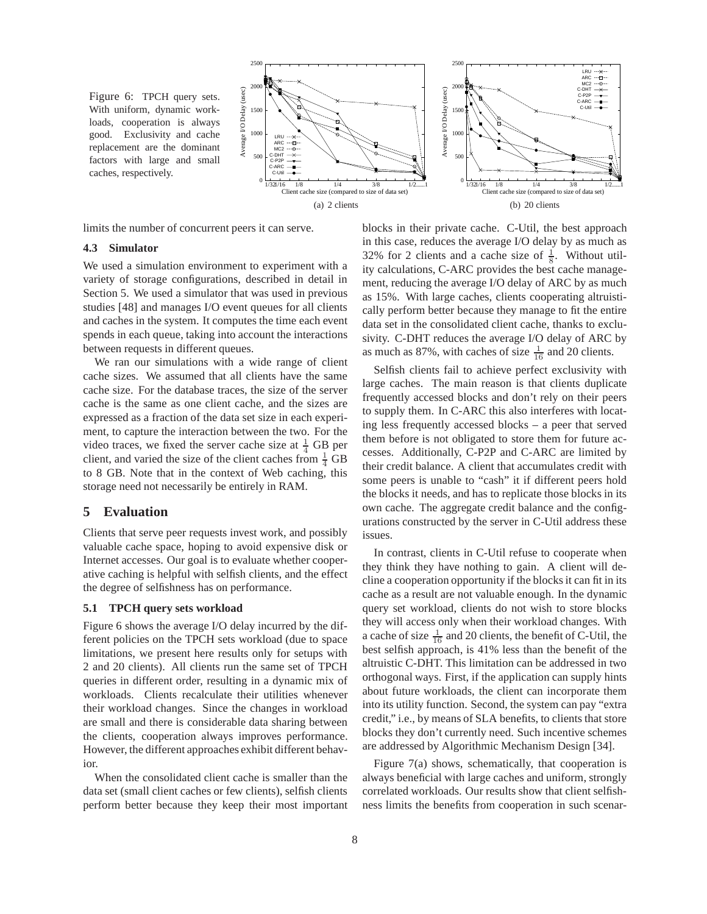Figure 6: TPCH query sets. With uniform, dynamic workloads, cooperation is always good. Exclusivity and cache replacement are the dominant factors with large and small caches, respectively.



limits the number of concurrent peers it can serve.

### **4.3 Simulator**

We used a simulation environment to experiment with a variety of storage configurations, described in detail in Section 5. We used a simulator that was used in previous studies [48] and manages I/O event queues for all clients and caches in the system. It computes the time each event spends in each queue, taking into account the interactions between requests in different queues.

We ran our simulations with a wide range of client cache sizes. We assumed that all clients have the same cache size. For the database traces, the size of the server cache is the same as one client cache, and the sizes are expressed as a fraction of the data set size in each experiment, to capture the interaction between the two. For the video traces, we fixed the server cache size at  $\frac{1}{4}$  GB per client, and varied the size of the client caches from  $\frac{1}{4}$  GB to 8 GB. Note that in the context of Web caching, this storage need not necessarily be entirely in RAM.

### **5 Evaluation**

Clients that serve peer requests invest work, and possibly valuable cache space, hoping to avoid expensive disk or Internet accesses. Our goal is to evaluate whether cooperative caching is helpful with selfish clients, and the effect the degree of selfishness has on performance.

### **5.1 TPCH query sets workload**

Figure 6 shows the average I/O delay incurred by the different policies on the TPCH sets workload (due to space limitations, we present here results only for setups with 2 and 20 clients). All clients run the same set of TPCH queries in different order, resulting in a dynamic mix of workloads. Clients recalculate their utilities whenever their workload changes. Since the changes in workload are small and there is considerable data sharing between the clients, cooperation always improves performance. However, the different approaches exhibit different behavior.

When the consolidated client cache is smaller than the data set (small client caches or few clients), selfish clients perform better because they keep their most important blocks in their private cache. C-Util, the best approach in this case, reduces the average I/O delay by as much as 32% for 2 clients and a cache size of  $\frac{1}{8}$ . Without utility calculations, C-ARC provides the best cache management, reducing the average I/O delay of ARC by as much as 15%. With large caches, clients cooperating altruistically perform better because they manage to fit the entire data set in the consolidated client cache, thanks to exclusivity. C-DHT reduces the average I/O delay of ARC by as much as 87%, with caches of size  $\frac{1}{16}$  and 20 clients.

Selfish clients fail to achieve perfect exclusivity with large caches. The main reason is that clients duplicate frequently accessed blocks and don't rely on their peers to supply them. In C-ARC this also interferes with locating less frequently accessed blocks – a peer that served them before is not obligated to store them for future accesses. Additionally, C-P2P and C-ARC are limited by their credit balance. A client that accumulates credit with some peers is unable to "cash" it if different peers hold the blocks it needs, and has to replicate those blocks in its own cache. The aggregate credit balance and the configurations constructed by the server in C-Util address these issues.

In contrast, clients in C-Util refuse to cooperate when they think they have nothing to gain. A client will decline a cooperation opportunity if the blocks it can fit in its cache as a result are not valuable enough. In the dynamic query set workload, clients do not wish to store blocks they will access only when their workload changes. With a cache of size  $\frac{1}{16}$  and 20 clients, the benefit of C-Util, the best selfish approach, is 41% less than the benefit of the altruistic C-DHT. This limitation can be addressed in two orthogonal ways. First, if the application can supply hints about future workloads, the client can incorporate them into its utility function. Second, the system can pay "extra credit," i.e., by means of SLA benefits, to clients that store blocks they don't currently need. Such incentive schemes are addressed by Algorithmic Mechanism Design [34].

Figure 7(a) shows, schematically, that cooperation is always beneficial with large caches and uniform, strongly correlated workloads. Our results show that client selfishness limits the benefits from cooperation in such scenar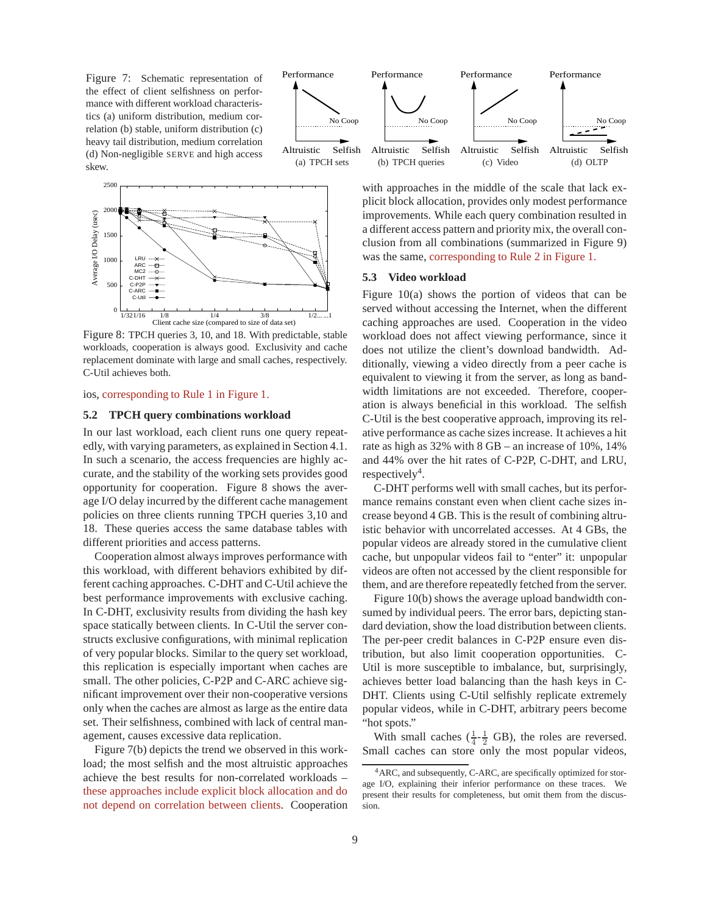Figure 7: Schematic representation of the effect of client selfishness on performance with different workload characteristics (a) uniform distribution, medium correlation (b) stable, uniform distribution (c) heavy tail distribution, medium correlation (d) Non-negligible SERVE and high access skew.





Figure 8: TPCH queries 3, 10, and 18. With predictable, stable workloads, cooperation is always good. Exclusivity and cache replacement dominate with large and small caches, respectively. C-Util achieves both.

### ios, corresponding to Rule 1 in Figure 1.

### **5.2 TPCH query combinations workload**

In our last workload, each client runs one query repeatedly, with varying parameters, as explained in Section 4.1. In such a scenario, the access frequencies are highly accurate, and the stability of the working sets provides good opportunity for cooperation. Figure 8 shows the average I/O delay incurred by the different cache management policies on three clients running TPCH queries 3,10 and 18. These queries access the same database tables with different priorities and access patterns.

Cooperation almost always improves performance with this workload, with different behaviors exhibited by different caching approaches. C-DHT and C-Util achieve the best performance improvements with exclusive caching. In C-DHT, exclusivity results from dividing the hash key space statically between clients. In C-Util the server constructs exclusive configurations, with minimal replication of very popular blocks. Similar to the query set workload, this replication is especially important when caches are small. The other policies, C-P2P and C-ARC achieve significant improvement over their non-cooperative versions only when the caches are almost as large as the entire data set. Their selfishness, combined with lack of central management, causes excessive data replication.

Figure 7(b) depicts the trend we observed in this workload; the most selfish and the most altruistic approaches achieve the best results for non-correlated workloads – these approaches include explicit block allocation and do not depend on correlation between clients. Cooperation

with approaches in the middle of the scale that lack explicit block allocation, provides only modest performance improvements. While each query combination resulted in a different access pattern and priority mix, the overall conclusion from all combinations (summarized in Figure 9) was the same, corresponding to Rule 2 in Figure 1.

#### **5.3 Video workload**

Figure 10(a) shows the portion of videos that can be served without accessing the Internet, when the different caching approaches are used. Cooperation in the video workload does not affect viewing performance, since it does not utilize the client's download bandwidth. Additionally, viewing a video directly from a peer cache is equivalent to viewing it from the server, as long as bandwidth limitations are not exceeded. Therefore, cooperation is always beneficial in this workload. The selfish C-Util is the best cooperative approach, improving its relative performance as cache sizes increase. It achieves a hit rate as high as 32% with 8 GB – an increase of 10%, 14% and 44% over the hit rates of C-P2P, C-DHT, and LRU, respectively<sup>4</sup>.

C-DHT performs well with small caches, but its performance remains constant even when client cache sizes increase beyond 4 GB. This is the result of combining altruistic behavior with uncorrelated accesses. At 4 GBs, the popular videos are already stored in the cumulative client cache, but unpopular videos fail to "enter" it: unpopular videos are often not accessed by the client responsible for them, and are therefore repeatedly fetched from the server.

Figure 10(b) shows the average upload bandwidth consumed by individual peers. The error bars, depicting standard deviation, show the load distribution between clients. The per-peer credit balances in C-P2P ensure even distribution, but also limit cooperation opportunities. C-Util is more susceptible to imbalance, but, surprisingly, achieves better load balancing than the hash keys in C-DHT. Clients using C-Util selfishly replicate extremely popular videos, while in C-DHT, arbitrary peers become "hot spots."

With small caches  $(\frac{1}{4} - \frac{1}{2}$  GB), the roles are reversed. Small caches can store only the most popular videos,

<sup>4</sup>ARC, and subsequently, C-ARC, are specifically optimized for storage I/O, explaining their inferior performance on these traces. We present their results for completeness, but omit them from the discussion.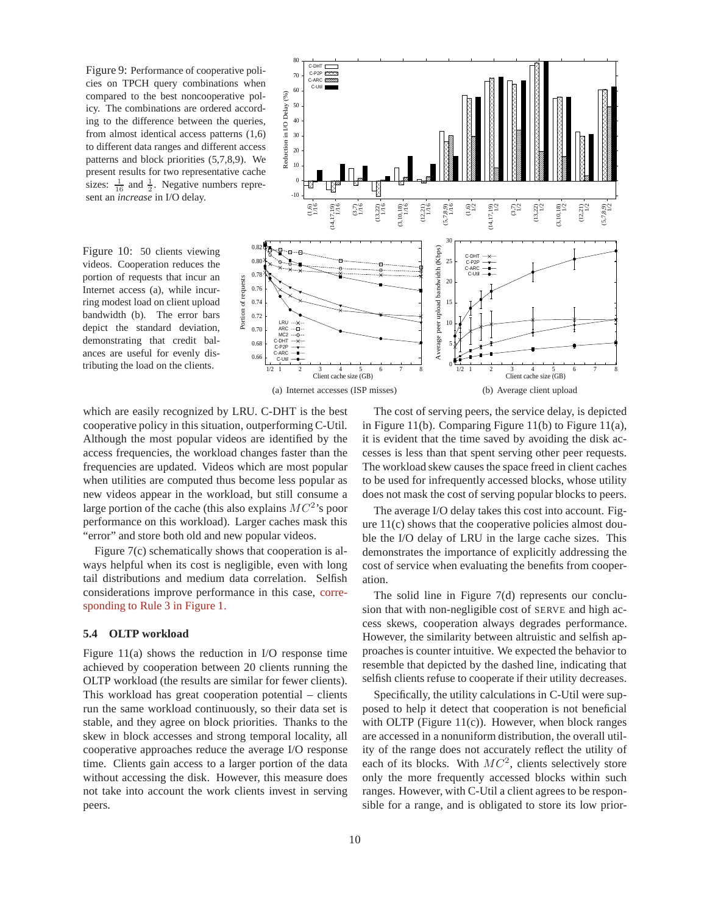Figure 9: Performance of cooperative policies on TPCH query combinations when compared to the best noncooperative policy. The combinations are ordered according to the difference between the queries, from almost identical access patterns (1,6) to different data ranges and different access patterns and block priorities (5,7,8,9). We present results for two representative cache sizes:  $\frac{1}{16}$  and  $\frac{1}{2}$ . Negative numbers represent an *increase* in I/O delay.

Figure 10: 50 clients viewing videos. Cooperation reduces the portion of requests that incur an Internet access (a), while incurring modest load on client upload bandwidth (b). The error bars depict the standard deviation, demonstrating that credit balances are useful for evenly distributing the load on the clients.



which are easily recognized by LRU. C-DHT is the best cooperative policy in this situation, outperforming C-Util. Although the most popular videos are identified by the access frequencies, the workload changes faster than the frequencies are updated. Videos which are most popular when utilities are computed thus become less popular as new videos appear in the workload, but still consume a large portion of the cache (this also explains  $MC^2$ 's poor performance on this workload). Larger caches mask this "error" and store both old and new popular videos.

Figure 7(c) schematically shows that cooperation is always helpful when its cost is negligible, even with long tail distributions and medium data correlation. Selfish considerations improve performance in this case, corresponding to Rule 3 in Figure 1.

### **5.4 OLTP workload**

Figure 11(a) shows the reduction in I/O response time achieved by cooperation between 20 clients running the OLTP workload (the results are similar for fewer clients). This workload has great cooperation potential – clients run the same workload continuously, so their data set is stable, and they agree on block priorities. Thanks to the skew in block accesses and strong temporal locality, all cooperative approaches reduce the average I/O response time. Clients gain access to a larger portion of the data without accessing the disk. However, this measure does not take into account the work clients invest in serving peers.

The cost of serving peers, the service delay, is depicted in Figure 11(b). Comparing Figure 11(b) to Figure 11(a), it is evident that the time saved by avoiding the disk accesses is less than that spent serving other peer requests. The workload skew causes the space freed in client caches to be used for infrequently accessed blocks, whose utility does not mask the cost of serving popular blocks to peers.

The average I/O delay takes this cost into account. Figure  $11(c)$  shows that the cooperative policies almost double the I/O delay of LRU in the large cache sizes. This demonstrates the importance of explicitly addressing the cost of service when evaluating the benefits from cooperation.

The solid line in Figure 7(d) represents our conclusion that with non-negligible cost of SERVE and high access skews, cooperation always degrades performance. However, the similarity between altruistic and selfish approaches is counter intuitive. We expected the behavior to resemble that depicted by the dashed line, indicating that selfish clients refuse to cooperate if their utility decreases.

Specifically, the utility calculations in C-Util were supposed to help it detect that cooperation is not beneficial with OLTP (Figure  $11(c)$ ). However, when block ranges are accessed in a nonuniform distribution, the overall utility of the range does not accurately reflect the utility of each of its blocks. With  $MC^2$ , clients selectively store only the more frequently accessed blocks within such ranges. However, with C-Util a client agrees to be responsible for a range, and is obligated to store its low prior-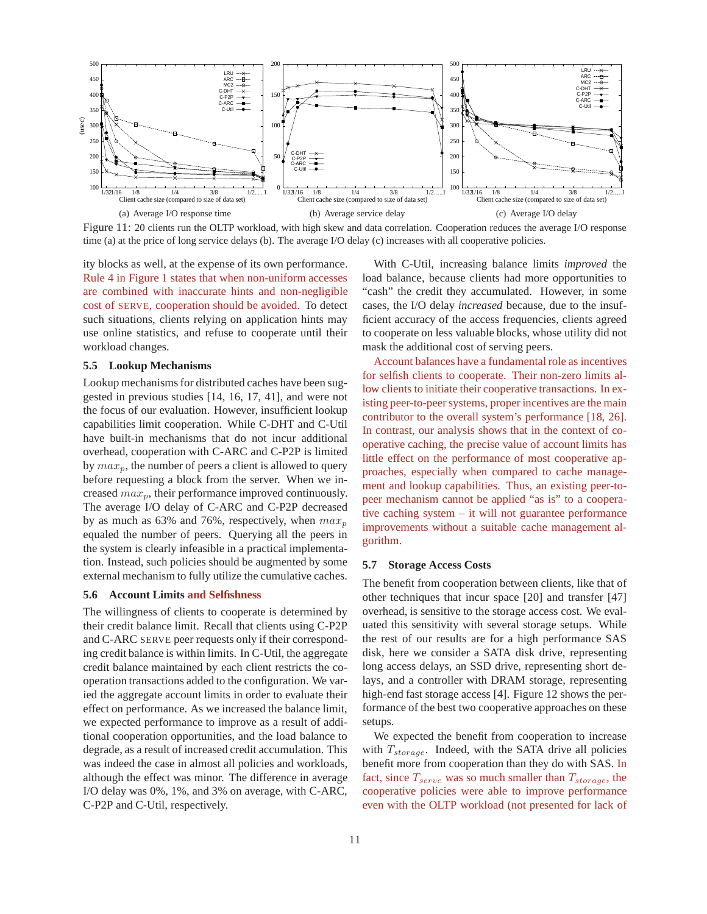

Figure 11: 20 clients run the OLTP workload, with high skew and data correlation. Cooperation reduces the average I/O response time (a) at the price of long service delays (b). The average I/O delay (c) increases with all cooperative policies.

ity blocks as well, at the expense of its own performance. Rule 4 in Figure 1 states that when non-uniform accesses are combined with inaccurate hints and non-negligible cost of SERVE, cooperation should be avoided. To detect such situations, clients relying on application hints may use online statistics, and refuse to cooperate until their workload changes.

### **5.5 Lookup Mechanisms**

Lookup mechanisms for distributed caches have been suggested in previous studies [14, 16, 17, 41], and were not the focus of our evaluation. However, insufficient lookup capabilities limit cooperation. While C-DHT and C-Util have built-in mechanisms that do not incur additional overhead, cooperation with C-ARC and C-P2P is limited by  $max_p$ , the number of peers a client is allowed to query before requesting a block from the server. When we increased  $max_p$ , their performance improved continuously. The average I/O delay of C-ARC and C-P2P decreased by as much as 63% and 76%, respectively, when  $max_p$ equaled the number of peers. Querying all the peers in the system is clearly infeasible in a practical implementation. Instead, such policies should be augmented by some external mechanism to fully utilize the cumulative caches.

#### **5.6 Account Limits and Selfishness**

The willingness of clients to cooperate is determined by their credit balance limit. Recall that clients using C-P2P and C-ARC SERVE peer requests only if their corresponding credit balance is within limits. In C-Util, the aggregate credit balance maintained by each client restricts the cooperation transactions added to the configuration. We varied the aggregate account limits in order to evaluate their effect on performance. As we increased the balance limit, we expected performance to improve as a result of additional cooperation opportunities, and the load balance to degrade, as a result of increased credit accumulation. This was indeed the case in almost all policies and workloads, although the effect was minor. The difference in average I/O delay was 0%, 1%, and 3% on average, with C-ARC, C-P2P and C-Util, respectively.

With C-Util, increasing balance limits *improved* the load balance, because clients had more opportunities to "cash" the credit they accumulated. However, in some cases, the I/O delay *increased* because, due to the insufficient accuracy of the access frequencies, clients agreed to cooperate on less valuable blocks, whose utility did not mask the additional cost of serving peers.

Account balances have a fundamental role as incentives for selfish clients to cooperate. Their non-zero limits allow clients to initiate their cooperative transactions. In existing peer-to-peer systems, proper incentives are the main contributor to the overall system's performance [18, 26]. In contrast, our analysis shows that in the context of cooperative caching, the precise value of account limits has little effect on the performance of most cooperative approaches, especially when compared to cache management and lookup capabilities. Thus, an existing peer-topeer mechanism cannot be applied "as is" to a cooperative caching system – it will not guarantee performance improvements without a suitable cache management algorithm.

#### **5.7 Storage Access Costs**

The benefit from cooperation between clients, like that of other techniques that incur space [20] and transfer [47] overhead, is sensitive to the storage access cost. We evaluated this sensitivity with several storage setups. While the rest of our results are for a high performance SAS disk, here we consider a SATA disk drive, representing long access delays, an SSD drive, representing short delays, and a controller with DRAM storage, representing high-end fast storage access [4]. Figure 12 shows the performance of the best two cooperative approaches on these setups.

We expected the benefit from cooperation to increase with  $T_{storage}$ . Indeed, with the SATA drive all policies benefit more from cooperation than they do with SAS. In fact, since  $T_{serve}$  was so much smaller than  $T_{storage}$ , the cooperative policies were able to improve performance even with the OLTP workload (not presented for lack of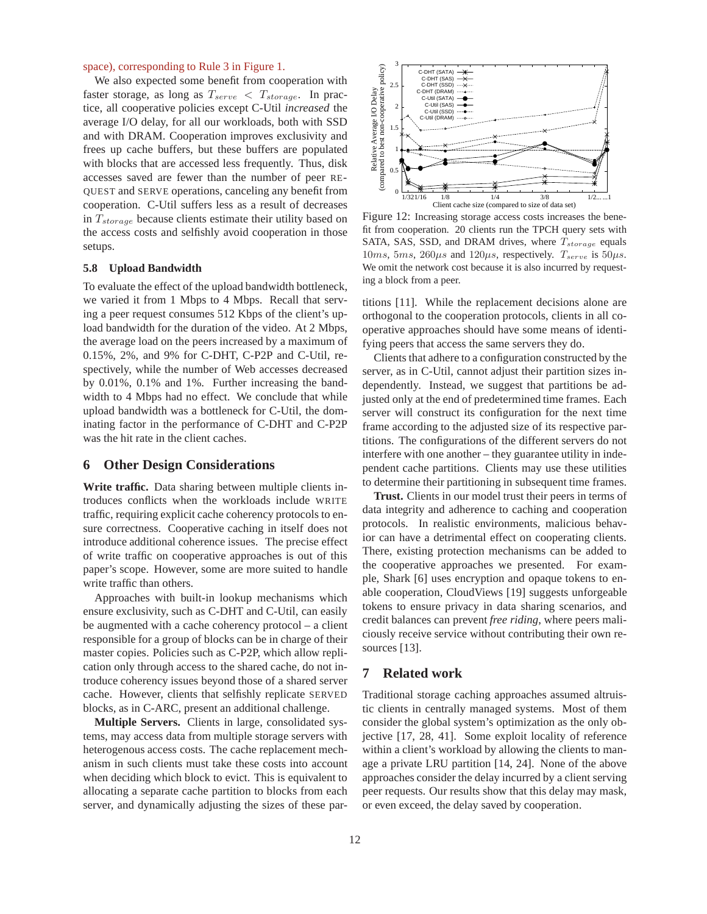#### space), corresponding to Rule 3 in Figure 1.

We also expected some benefit from cooperation with faster storage, as long as  $T_{serve} < T_{storage}$ . In practice, all cooperative policies except C-Util *increased* the average I/O delay, for all our workloads, both with SSD and with DRAM. Cooperation improves exclusivity and frees up cache buffers, but these buffers are populated with blocks that are accessed less frequently. Thus, disk accesses saved are fewer than the number of peer RE-QUEST and SERVE operations, canceling any benefit from cooperation. C-Util suffers less as a result of decreases in  $T_{storage}$  because clients estimate their utility based on the access costs and selfishly avoid cooperation in those setups.

### **5.8 Upload Bandwidth**

To evaluate the effect of the upload bandwidth bottleneck, we varied it from 1 Mbps to 4 Mbps. Recall that serving a peer request consumes 512 Kbps of the client's upload bandwidth for the duration of the video. At 2 Mbps, the average load on the peers increased by a maximum of 0.15%, 2%, and 9% for C-DHT, C-P2P and C-Util, respectively, while the number of Web accesses decreased by 0.01%, 0.1% and 1%. Further increasing the bandwidth to 4 Mbps had no effect. We conclude that while upload bandwidth was a bottleneck for C-Util, the dominating factor in the performance of C-DHT and C-P2P was the hit rate in the client caches.

### **6 Other Design Considerations**

**Write traffic.** Data sharing between multiple clients introduces conflicts when the workloads include WRITE traffic, requiring explicit cache coherency protocols to ensure correctness. Cooperative caching in itself does not introduce additional coherence issues. The precise effect of write traffic on cooperative approaches is out of this paper's scope. However, some are more suited to handle write traffic than others.

Approaches with built-in lookup mechanisms which ensure exclusivity, such as C-DHT and C-Util, can easily be augmented with a cache coherency protocol – a client responsible for a group of blocks can be in charge of their master copies. Policies such as C-P2P, which allow replication only through access to the shared cache, do not introduce coherency issues beyond those of a shared server cache. However, clients that selfishly replicate SERVED blocks, as in C-ARC, present an additional challenge.

**Multiple Servers.** Clients in large, consolidated systems, may access data from multiple storage servers with heterogenous access costs. The cache replacement mechanism in such clients must take these costs into account when deciding which block to evict. This is equivalent to allocating a separate cache partition to blocks from each server, and dynamically adjusting the sizes of these par-



Figure 12: Increasing storage access costs increases the benefit from cooperation. 20 clients run the TPCH query sets with SATA, SAS, SSD, and DRAM drives, where  $T_{storage}$  equals  $10ms$ ,  $5ms$ ,  $260\mu s$  and  $120\mu s$ , respectively.  $T_{serve}$  is  $50\mu s$ . We omit the network cost because it is also incurred by requesting a block from a peer.

titions [11]. While the replacement decisions alone are orthogonal to the cooperation protocols, clients in all cooperative approaches should have some means of identifying peers that access the same servers they do.

Clients that adhere to a configuration constructed by the server, as in C-Util, cannot adjust their partition sizes independently. Instead, we suggest that partitions be adjusted only at the end of predetermined time frames. Each server will construct its configuration for the next time frame according to the adjusted size of its respective partitions. The configurations of the different servers do not interfere with one another – they guarantee utility in independent cache partitions. Clients may use these utilities to determine their partitioning in subsequent time frames.

**Trust.** Clients in our model trust their peers in terms of data integrity and adherence to caching and cooperation protocols. In realistic environments, malicious behavior can have a detrimental effect on cooperating clients. There, existing protection mechanisms can be added to the cooperative approaches we presented. For example, Shark [6] uses encryption and opaque tokens to enable cooperation, CloudViews [19] suggests unforgeable tokens to ensure privacy in data sharing scenarios, and credit balances can prevent *free riding*, where peers maliciously receive service without contributing their own resources [13].

### **7 Related work**

Traditional storage caching approaches assumed altruistic clients in centrally managed systems. Most of them consider the global system's optimization as the only objective [17, 28, 41]. Some exploit locality of reference within a client's workload by allowing the clients to manage a private LRU partition [14, 24]. None of the above approaches consider the delay incurred by a client serving peer requests. Our results show that this delay may mask, or even exceed, the delay saved by cooperation.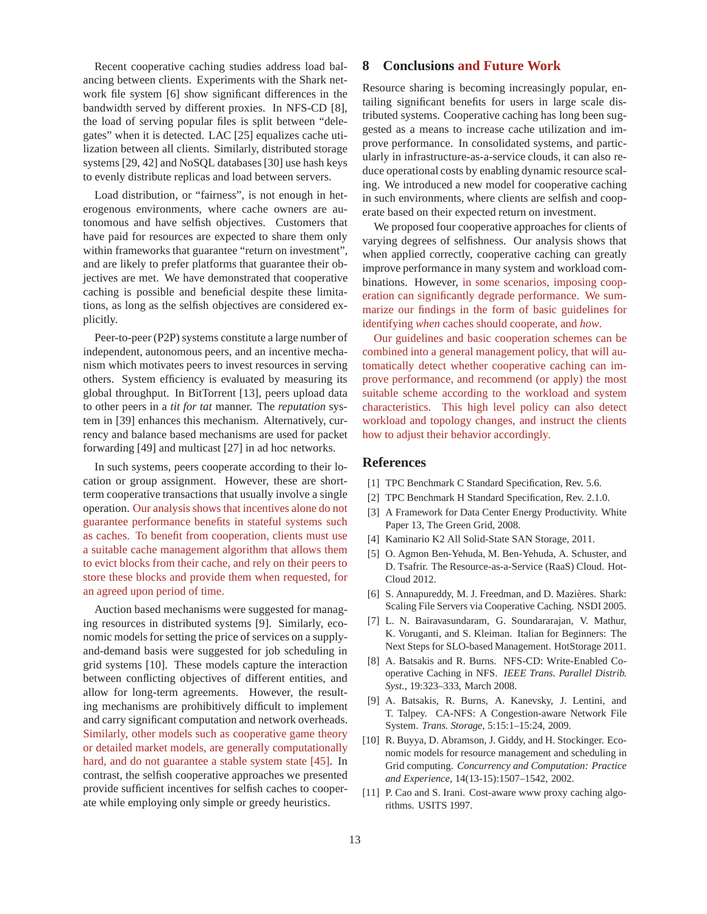Recent cooperative caching studies address load balancing between clients. Experiments with the Shark network file system [6] show significant differences in the bandwidth served by different proxies. In NFS-CD [8], the load of serving popular files is split between "delegates" when it is detected. LAC [25] equalizes cache utilization between all clients. Similarly, distributed storage systems [29, 42] and NoSQL databases [30] use hash keys to evenly distribute replicas and load between servers.

Load distribution, or "fairness", is not enough in heterogenous environments, where cache owners are autonomous and have selfish objectives. Customers that have paid for resources are expected to share them only within frameworks that guarantee "return on investment", and are likely to prefer platforms that guarantee their objectives are met. We have demonstrated that cooperative caching is possible and beneficial despite these limitations, as long as the selfish objectives are considered explicitly.

Peer-to-peer (P2P) systems constitute a large number of independent, autonomous peers, and an incentive mechanism which motivates peers to invest resources in serving others. System efficiency is evaluated by measuring its global throughput. In BitTorrent [13], peers upload data to other peers in a *tit for tat* manner. The *reputation* system in [39] enhances this mechanism. Alternatively, currency and balance based mechanisms are used for packet forwarding [49] and multicast [27] in ad hoc networks.

In such systems, peers cooperate according to their location or group assignment. However, these are shortterm cooperative transactions that usually involve a single operation. Our analysis shows that incentives alone do not guarantee performance benefits in stateful systems such as caches. To benefit from cooperation, clients must use a suitable cache management algorithm that allows them to evict blocks from their cache, and rely on their peers to store these blocks and provide them when requested, for an agreed upon period of time.

Auction based mechanisms were suggested for managing resources in distributed systems [9]. Similarly, economic models for setting the price of services on a supplyand-demand basis were suggested for job scheduling in grid systems [10]. These models capture the interaction between conflicting objectives of different entities, and allow for long-term agreements. However, the resulting mechanisms are prohibitively difficult to implement and carry significant computation and network overheads. Similarly, other models such as cooperative game theory or detailed market models, are generally computationally hard, and do not guarantee a stable system state [45]. In contrast, the selfish cooperative approaches we presented provide sufficient incentives for selfish caches to cooperate while employing only simple or greedy heuristics.

## **8 Conclusions and Future Work**

Resource sharing is becoming increasingly popular, entailing significant benefits for users in large scale distributed systems. Cooperative caching has long been suggested as a means to increase cache utilization and improve performance. In consolidated systems, and particularly in infrastructure-as-a-service clouds, it can also reduce operational costs by enabling dynamic resource scaling. We introduced a new model for cooperative caching in such environments, where clients are selfish and cooperate based on their expected return on investment.

We proposed four cooperative approaches for clients of varying degrees of selfishness. Our analysis shows that when applied correctly, cooperative caching can greatly improve performance in many system and workload combinations. However, in some scenarios, imposing cooperation can significantly degrade performance. We summarize our findings in the form of basic guidelines for identifying *when* caches should cooperate, and *how*.

Our guidelines and basic cooperation schemes can be combined into a general management policy, that will automatically detect whether cooperative caching can improve performance, and recommend (or apply) the most suitable scheme according to the workload and system characteristics. This high level policy can also detect workload and topology changes, and instruct the clients how to adjust their behavior accordingly.

### **References**

- [1] TPC Benchmark C Standard Specification, Rev. 5.6.
- [2] TPC Benchmark H Standard Specification, Rev. 2.1.0.
- [3] A Framework for Data Center Energy Productivity. White Paper 13, The Green Grid, 2008.
- [4] Kaminario K2 All Solid-State SAN Storage, 2011.
- [5] O. Agmon Ben-Yehuda, M. Ben-Yehuda, A. Schuster, and D. Tsafrir. The Resource-as-a-Service (RaaS) Cloud. Hot-Cloud 2012.
- [6] S. Annapureddy, M. J. Freedman, and D. Mazières. Shark: Scaling File Servers via Cooperative Caching. NSDI 2005.
- [7] L. N. Bairavasundaram, G. Soundararajan, V. Mathur, K. Voruganti, and S. Kleiman. Italian for Beginners: The Next Steps for SLO-based Management. HotStorage 2011.
- [8] A. Batsakis and R. Burns. NFS-CD: Write-Enabled Cooperative Caching in NFS. *IEEE Trans. Parallel Distrib. Syst.*, 19:323–333, March 2008.
- [9] A. Batsakis, R. Burns, A. Kanevsky, J. Lentini, and T. Talpey. CA-NFS: A Congestion-aware Network File System. *Trans. Storage*, 5:15:1–15:24, 2009.
- [10] R. Buyya, D. Abramson, J. Giddy, and H. Stockinger. Economic models for resource management and scheduling in Grid computing. *Concurrency and Computation: Practice and Experience*, 14(13-15):1507–1542, 2002.
- [11] P. Cao and S. Irani. Cost-aware www proxy caching algorithms. USITS 1997.